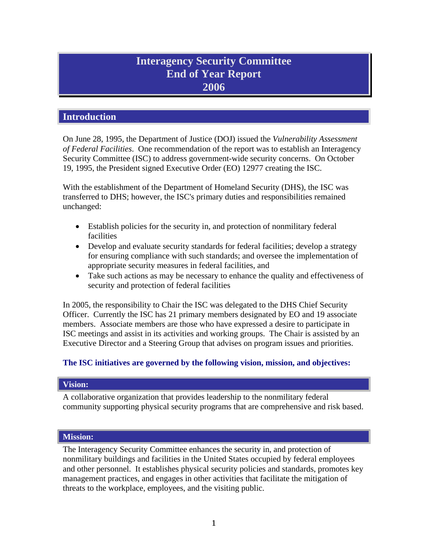# **Interagency Security Committee End of Year Report 2006**

# **Introduction**

On June 28, 1995, the Department of Justice (DOJ) issued the *Vulnerability Assessment of Federal Facilities*. One recommendation of the report was to establish an Interagency Security Committee (ISC) to address government-wide security concerns. On October 19, 1995, the President signed Executive Order (EO) 12977 creating the ISC.

With the establishment of the Department of Homeland Security (DHS), the ISC was transferred to DHS; however, the ISC's primary duties and responsibilities remained unchanged:

- Establish policies for the security in, and protection of nonmilitary federal facilities
- Develop and evaluate security standards for federal facilities; develop a strategy for ensuring compliance with such standards; and oversee the implementation of appropriate security measures in federal facilities, and
- Take such actions as may be necessary to enhance the quality and effectiveness of security and protection of federal facilities

In 2005, the responsibility to Chair the ISC was delegated to the DHS Chief Security Officer. Currently the ISC has 21 primary members designated by EO and 19 associate members. Associate members are those who have expressed a desire to participate in ISC meetings and assist in its activities and working groups. The Chair is assisted by an Executive Director and a Steering Group that advises on program issues and priorities.

# **The ISC initiatives are governed by the following vision, mission, and objectives:**

# **Vision:**

A collaborative organization that provides leadership to the nonmilitary federal community supporting physical security programs that are comprehensive and risk based.

# **Mission:**

The Interagency Security Committee enhances the security in, and protection of nonmilitary buildings and facilities in the United States occupied by federal employees and other personnel. It establishes physical security policies and standards, promotes key management practices, and engages in other activities that facilitate the mitigation of threats to the workplace, employees, and the visiting public.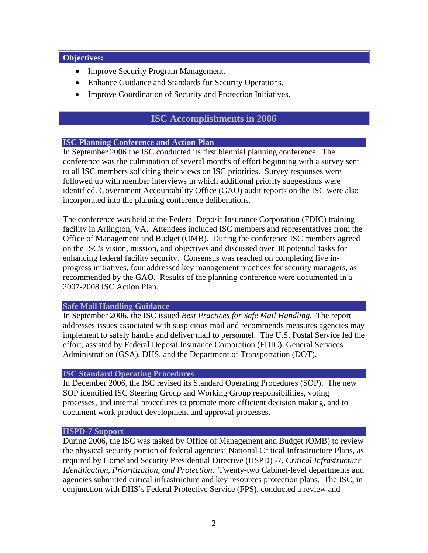#### **Objectives :**

- Improve Security Program Management.
- Enhance Guidance and Standards for Security Operations.
- Improve Coordination of Security and Protection Initiatives.

# **ISC Accomplishments in 2006**

# **ISC Planning Conference and Action Plan**

In September 2006 the ISC conducted its first biennial planning conference. The conference was the culmination of several months of effort beginning with a survey sent to all ISC members soliciting their views on ISC priorities. Survey responses were followed up with member interviews in which additional priority suggestions were identified. Government Accountability Office (GAO) audit reports on the ISC were also incorporated into the planning conference deliberations.

The conference was held at the Federal Deposit Insurance Corporation (FDIC) training facility in Arlington, VA. Attendees included ISC members and representatives from the Office of Management and Budget (OMB). During the conference ISC members agreed on the ISC's vision, mission, and objectives and discussed over 30 potential tasks for enhancing federal facility security. Consensus was reached on completing five inprogress initiatives, four addressed key management practices for security managers, as recommended by the GAO. Results of the planning conference were documented in a 2007-2008 ISC Action Plan.

# **Safe Mail Handling Guidance**

In September 2006, the ISC issued *Best Practices for Safe Mail Handling*. The report addresses issues associated with suspicious mail and recommends measures agencies may implement to safely handle and deliver mail to personnel. The U.S. Postal Service led the effort, assisted by Federal Deposit Insurance Corporation (FDIC), General Services Administration (GSA), DHS, and the Department of Transportation (DOT).

# **ISC Standard Operating Procedures**

In December 2006, the ISC revised its Standard Operating Procedures (SOP). The new SOP identified ISC Steering Group and Working Group responsibilities, voting processes, and internal procedures to promote more efficient decision making, and to document work product development and approval processes.

#### **HSPD-7 Support**

During 2006, the ISC was tasked by Office of Management and Budget (OMB) to review the physical security portion of federal agencies' National Critical Infrastructure Plans, as required by Homeland Security Presidential Directive (HSPD) -7, *Critical Infrastructure Identification, Prioritization, and Protection*. Twenty-two Cabinet-level departments and agencies submitted critical infrastructure and key resources protection plans. The ISC, in conjunction with DHS's Federal Protective Service (FPS), conducted a review and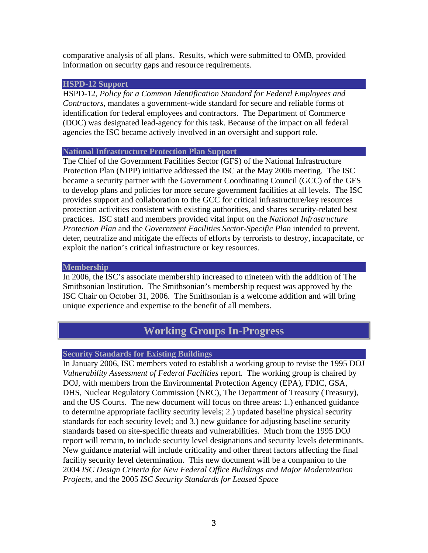comparative analysis of all plans. Results, which were submitted to OMB, provided information on security gaps and resource requirements.

#### **HSPD-12 Support**

HSPD-12, *Policy for a Common Identification Standard for Federal Employees and Contractors,* mandates a government-wide standard for secure and reliable forms of identification for federal employees and contractors. The Department of Commerce (DOC) was designated lead-agency for this task. Because of the impact on all federal agencies the ISC became actively involved in an oversight and support role.

#### **National Infrastructure Protection Plan Support**

The Chief of the Government Facilities Sector (GFS) of the National Infrastructure Protection Plan (NIPP) initiative addressed the ISC at the May 2006 meeting. The ISC became a security partner with the Government Coordinating Council (GCC) of the GFS to develop plans and policies for more secure government facilities at all levels. The ISC provides support and collaboration to the GCC for critical infrastructure/key resources protection activities consistent with existing authorities, and shares security-related best practices. ISC staff and members provided vital input on the *National Infrastructure Protection Plan* and the *Government Facilities Sector-Specific Plan* intended to prevent, deter, neutralize and mitigate the effects of efforts by terrorists to destroy, incapacitate, or exploit the nation's critical infrastructure or key resources.

#### **Membership**

In 2006, the ISC's associate membership increased to nineteen with the addition of The Smithsonian Institution. The Smithsonian's membership request was approved by the ISC Chair on October 31, 2006. The Smithsonian is a welcome addition and will bring unique experience and expertise to the benefit of all members.

# **Working Groups In-Progress**

# **Security Standards for Existing Buildings**

In January 2006, ISC members voted to establish a working group to revise the 1995 DOJ *Vulnerability Assessment of Federal Facilities* report. The working group is chaired by DOJ, with members from the Environmental Protection Agency (EPA), FDIC, GSA, DHS, Nuclear Regulatory Commission (NRC), The Department of Treasury (Treasury), and the US Courts. The new document will focus on three areas: 1.) enhanced guidance to determine appropriate facility security levels; 2.) updated baseline physical security standards for each security level; and 3.) new guidance for adjusting baseline security standards based on site-specific threats and vulnerabilities. Much from the 1995 DOJ report will remain, to include security level designations and security levels determinants. New guidance material will include criticality and other threat factors affecting the final facility security level determination. This new document will be a companion to the 2004 *ISC Design Criteria for New Federal Office Buildings and Major Modernization Projects*, and the 2005 *ISC Security Standards for Leased Space*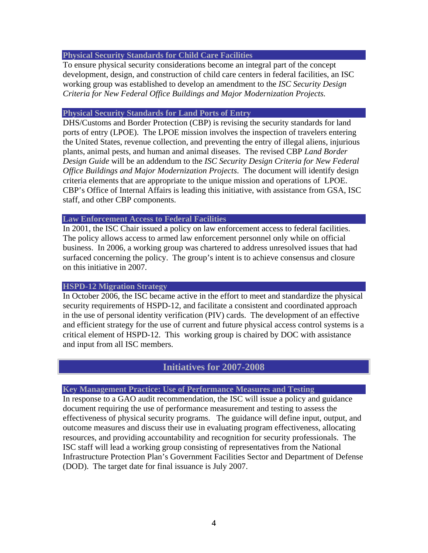#### **Physical Security Standards for Child Care Facilities**

To ensure physical security considerations become an integral part of the concept development, design, and construction of child care centers in federal facilities, an ISC working group was established to develop an amendment to the *ISC Security Design Criteria for New Federal Office Buildings and Major Modernization Projects.* 

#### **Physical Security Standards for Land Ports of Entry**

DHS/Customs and Border Protection (CBP) is revising the security standards for land ports of entry (LPOE). The LPOE mission involves the inspection of travelers entering the United States, revenue collection, and preventing the entry of illegal aliens, injurious plants, animal pests, and human and animal diseases. The revised CBP *Land Border Design Guide* will be an addendum to the *ISC Security Design Criteria for New Federal Office Buildings and Major Modernization Projects*. The document will identify design criteria elements that are appropriate to the unique mission and operations of LPOE. CBP's Office of Internal Affairs is leading this initiative, with assistance from GSA, ISC staff, and other CBP components.

# **Law Enforcement Access to Federal Facilities**

In 2001, the ISC Chair issued a policy on law enforcement access to federal facilities. The policy allows access to armed law enforcement personnel only while on official business. In 2006, a working group was chartered to address unresolved issues that had surfaced concerning the policy. The group's intent is to achieve consensus and closure on this initiative in 2007.

# **HSPD-12 Migration Strategy**

In October 2006, the ISC became active in the effort to meet and standardize the physical security requirements of HSPD-12, and facilitate a consistent and coordinated approach in the use of personal identity verification (PIV) cards. The development of an effective and efficient strategy for the use of current and future physical access control systems is a critical element of HSPD-12. This working group is chaired by DOC with assistance and input from all ISC members.

# **Initiatives for 2007-2008**

# **Key Management Practice: Use of Performance Measures and Testing**

In response to a GAO audit recommendation, the ISC will issue a policy and guidance document requiring the use of performance measurement and testing to assess the effectiveness of physical security programs. The guidance will define input, output, and outcome measures and discuss their use in evaluating program effectiveness, allocating resources, and providing accountability and recognition for security professionals. The ISC staff will lead a working group consisting of representatives from the National Infrastructure Protection Plan's Government Facilities Sector and Department of Defense (DOD). The target date for final issuance is July 2007.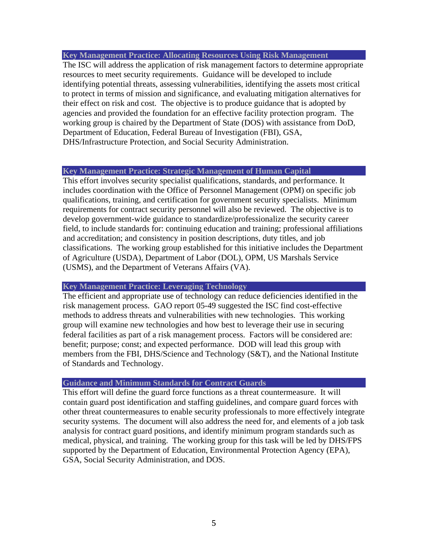**Key Management Practice: Allocating Resources Using Risk Management** 

The ISC will address the application of risk management factors to determine appropriate resources to meet security requirements. Guidance will be developed to include identifying potential threats, assessing vulnerabilities, identifying the assets most critical to protect in terms of mission and significance, and evaluating mitigation alternatives for their effect on risk and cost. The objective is to produce guidance that is adopted by agencies and provided the foundation for an effective facility protection program. The working group is chaired by the Department of State (DOS) with assistance from DoD, Department of Education, Federal Bureau of Investigation (FBI), GSA, DHS/Infrastructure Protection, and Social Security Administration.

#### **Key Management Practice: Strategic Management of Human Capital**

This effort involves security specialist qualifications, standards, and performance. It includes coordination with the Office of Personnel Management (OPM) on specific job qualifications, training, and certification for government security specialists. Minimum requirements for contract security personnel will also be reviewed. The objective is to develop government-wide guidance to standardize/professionalize the security career field, to include standards for: continuing education and training; professional affiliations and accreditation; and consistency in position descriptions, duty titles, and job classifications. The working group established for this initiative includes the Department of Agriculture (USDA), Department of Labor (DOL), OPM, US Marshals Service (USMS), and the Department of Veterans Affairs (VA).

#### **Key Management Practice: Leveraging Technology**

The efficient and appropriate use of technology can reduce deficiencies identified in the risk management process. GAO report 05-49 suggested the ISC find cost-effective methods to address threats and vulnerabilities with new technologies. This working group will examine new technologies and how best to leverage their use in securing federal facilities as part of a risk management process. Factors will be considered are: benefit; purpose; const; and expected performance. DOD will lead this group with members from the FBI, DHS/Science and Technology (S&T), and the National Institute of Standards and Technology.

# **Guidance and Minimum Standards for Contract Guards**

This effort will define the guard force functions as a threat countermeasure. It will contain guard post identification and staffing guidelines, and compare guard forces with other threat countermeasures to enable security professionals to more effectively integrate security systems. The document will also address the need for, and elements of a job task analysis for contract guard positions, and identify minimum program standards such as medical, physical, and training. The working group for this task will be led by DHS/FPS supported by the Department of Education, Environmental Protection Agency (EPA), GSA, Social Security Administration, and DOS.